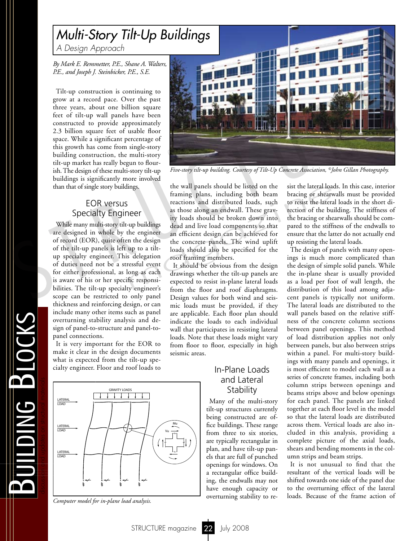# *Multi-Story Tilt-Up Buildings*

*A Design Approach*

*By Mark E. Remmetter, P.E., Shane A. Walters, P.E., and Joseph J. Steinbicker, P.E., S.E.*

Tilt-up construction is continuing to grow at a record pace. Over the past three years, about one billion square feet of tilt-up wall panels have been constructed to provide approximately 2.3 billion square feet of usable floor space. While a significant percentage of this growth has come from single-story building construction, the multi-story tilt-up market has really begun to flourish. The design of these multi-story tilt-up buildings is significantly more involved than that of single story buildings.

## EOR versus Specialty Engineer

While many multi-story tilt-up buildings are designed in whole by the engineer of record (EOR), quite often the design of the tilt-up panels is left up to a tiltup specialty engineer. This delegation of duties need not be a stressful event for either professional, as long as each is aware of his or her specific responsibilities. The tilt-up specialty engineer's scope can be restricted to only panel thickness and reinforcing design, or can include many other items such as panel overturning stability analysis and design of panel-to-structure and panel-topanel connections.

It is very important for the EOR to make it clear in the design documents what is expected from the tilt-up specialty engineer. Floor and roof loads to



*Computer model for in-plane load analysis.*

m

uilding Blocks

**TIDING BLOCKS** 



*Five-story tilt-up building. Courtesy of Tilt-Up Concrete Association, ©John Gillan Photography.*

the wall panels should be listed on the framing plans, including both beam reactions and distributed loads, such as those along an endwall. These gravity loads should be broken down into dead and live load components so that an efficient design can be achieved for the concrete panels. The wind uplift loads should also be specified for the roof framing members. ings.<br>
the wall panels should be listed on the sist the lateral load<br>
framing plans, including both beam bracing or shear<br>
reactions and distributed loads, such to resist the latera<br>
1eer<br>
ity loads should be broken down i

It should be obvious from the design drawings whether the tilt-up panels are expected to resist in-plane lateral loads from the floor and roof diaphragms. Design values for both wind and seismic loads must be provided, if they are applicable. Each floor plan should indicate the loads to each individual wall that participates in resisting lateral loads. Note that these loads might vary from floor to floor, especially in high seismic areas.

## In-Plane Loads and Lateral **Stability**

Many of the multi-story tilt-up structures currently being constructed are office buildings. These range from three to six stories, are typically rectangular in plan, and have tilt-up panels that are full of punched openings for windows. On a rectangular office building, the endwalls may not have enough capacity or overturning stability to resist the lateral loads. In this case, interior bracing or shearwalls must be provided to resist the lateral loads in the short direction of the building. The stiffness of the bracing or shearwalls should be compared to the stiffness of the endwalls to ensure that the latter do not actually end up resisting the lateral loads.

The design of panels with many openings is much more complicated than the design of simple solid panels. While the in-plane shear is usually provided as a load per foot of wall length, the distribution of this load among adjacent panels is typically not uniform. The lateral loads are distributed to the wall panels based on the relative stiffness of the concrete column sections between panel openings. This method of load distribution applies not only between panels, but also between strips within a panel. For multi-story buildings with many panels and openings, it is most efficient to model each wall as a series of concrete frames, including both column strips between openings and beams strips above and below openings for each panel. The panels are linked together at each floor level in the model so that the lateral loads are distributed across them. Vertical loads are also included in this analysis, providing a complete picture of the axial loads, shears and bending moments in the column strips and beam strips.

It is not unusual to find that the resultant of the vertical loads will be shifted towards one side of the panel due to the overturning effect of the lateral loads. Because of the frame action of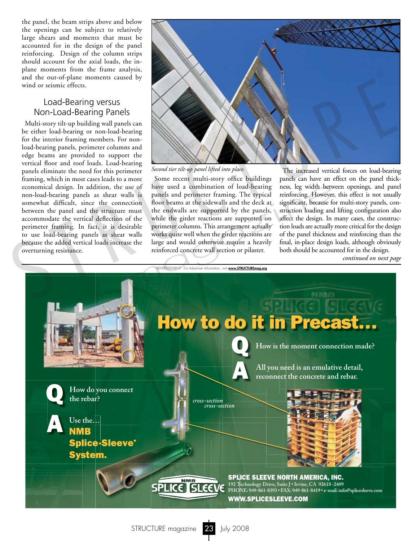the panel, the beam strips above and below the openings can be subject to relatively large shears and moments that must be accounted for in the design of the panel reinforcing. Design of the column strips should account for the axial loads, the inplane moments from the frame analysis, and the out-of-plane moments caused by wind or seismic effects.

## Load-Bearing versus Non-Load-Bearing Panels

Multi-story tilt-up building wall panels can be either load-bearing or non-load-bearing for the interior framing members. For nonload-bearing panels, perimeter columns and edge beams are provided to support the vertical floor and roof loads. Load-bearing panels eliminate the need for this perimeter framing, which in most cases leads to a more economical design. In addition, the use of non-load-bearing panels as shear walls is somewhat difficult, since the connection between the panel and the structure must accommodate the vertical deflection of the perimeter framing. In fact, it is desirable to use load-bearing panels as shear walls because the added vertical loads increase the overturning resistance.



*Second tier tilt-up panel lifted into place.*

Some recent multi-story office buildings have used a combination of load-bearing panels and perimeter framing. The typical floor beams at the sidewalls and the deck at the endwalls are supported by the panels, while the girder reactions are supported on perimeter columns. This arrangement actually works quite well when the girder reactions are large and would otherwise require a heavily reinforced concrete wall section or pilaster. Is a combination of load-bearing ness, leg width between<br>Ills is panels and perimeter framing. The typical reinforcing. However<br>crition floor beams at the sidewalls and the deck at significant, because for<br>must the endwall

The increased vertical forces on load-bearing panels can have an effect on the panel thickness, leg width between openings, and panel reinforcing. However, this effect is not usually significant, because for multi-story panels, construction loading and lifting configuration also affect the design. In many cases, the construction loads are actually more critical for the design of the panel thickness and reinforcing than the final, in-place design loads, although obviously both should be accounted for in the design.<br>continued on next page

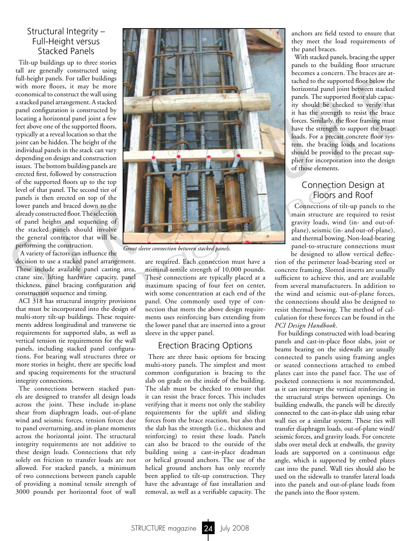## Structural Integrity – Full-Height versus Stacked Panels

Tilt-up buildings up to three stories tall are generally constructed using full-height panels. For taller buildings with more floors, it may be more economical to construct the wall using a stacked panel arrangement. A stacked panel configuration is constructed by locating a horizontal panel joint a few feet above one of the supported floors, typically at a reveal location so that the joint can be hidden. The height of the individual panels in the stack can vary depending on design and construction issues. The bottom building panels are erected first, followed by construction of the supported floors up to the top level of that panel. The second tier of panels is then erected on top of the lower panels and braced down to the already constructed floor. The selection of panel heights and sequencing of the stacked panels should involve the general contractor that will be performing the construction.

A variety of factors can influence the

decision to use a stacked panel arrangement. These include available panel casting area, crane size, lifting hardware capacity, panel thickness, panel bracing configuration and construction sequence and timing.

ACI 318 has structural integrity provisions that must be incorporated into the design of multi-story tilt-up buildings. These requirements address longitudinal and transverse tie requirements for supported slabs, as well as vertical tension tie requirements for the wall panels, including stacked panel configurations. For bearing wall structures three or more stories in height, there are specific load and spacing requirements for the structural integrity connections.

The connections between stacked panels are designed to transfer all design loads across the joint. These include in-plane shear from diaphragm loads, out-of-plane wind and seismic forces, tension forces due to panel overturning, and in-plane moments across the horizontal joint. The structural integrity requirements are not additive to these design loads. Connections that rely solely on friction to transfer loads are not allowed. For stacked panels, a minimum of two connections between panels capable of providing a nominal tensile strength of 3000 pounds per horizontal foot of wall



*Grout sleeve connection between stacked panels.*

are required. Each connection must have a nominal tensile strength of 10,000 pounds. These connections are typically placed at a maximum spacing of four feet on center, with some concentration at each end of the panel. One commonly used type of connection that meets the above design requirements uses reinforcing bars extending from the lower panel that are inserted into a grout sleeve in the upper panel.

#### Erection Bracing Options

There are three basic options for bracing multi-story panels. The simplest and most common configuration is bracing to the slab on grade on the inside of the building. The slab must be checked to ensure that it can resist the brace forces. This includes verifying that it meets not only the stability requirements for the uplift and sliding forces from the brace reaction, but also that the slab has the strength (i.e., thickness and reinforcing) to resist these loads. Panels can also be braced to the outside of the building using a cast-in-place deadman or helical ground anchors. The use of the helical ground anchors has only recently been applied to tilt-up construction. They have the advantage of fast installation and removal, as well as a verifiable capacity. The

anchors are field tested to ensure that they meet the load requirements of the panel braces.

With stacked panels, bracing the upper panels to the building floor structure becomes a concern. The braces are attached to the supported floor below the horizontal panel joint between stacked panels. The supported floor slab capacity should be checked to verify that it has the strength to resist the brace forces. Similarly, the floor framing must have the strength to support the brace loads. For a precast concrete floor system, the bracing loads and locations should be provided to the precast supplier for incorporation into the design of those elements.

# Connection Design at Floors and Roof

Connections of tilt-up panels to the main structure are required to resist gravity loads, wind (in- and out-ofplane), seismic (in- and out-of-plane), and thermal bowing. Non-load-bearing panel-to-structure connections must be designed to allow vertical deflec-

tion of the perimeter load-bearing steel or concrete framing. Slotted inserts are usually sufficient to achieve this, and are available from several manufacturers. In addition to the wind and seismic out-of-plane forces, the connections should also be designed to resist thermal bowing. The method of calculation for these forces can be found in the *PCI Design Handbook*.

For buildings constructed with load-bearing panels and cast-in-place floor slabs, joist or beams bearing on the sidewalls are usually connected to panels using framing angles or seated connections attached to embed plates cast into the panel face. The use of pocketed connections is not recommended, as it can interrupt the vertical reinforcing in the structural strips between openings. On building endwalls, the panels will be directly connected to the cast-in-place slab using rebar wall ties or a similar system. These ties will transfer diaphragm loads, out-of-plane wind/ seismic forces, and gravity loads. For concrete slabs over metal deck at endwalls, the gravity loads are supported on a continuous edge angle, which is supported by embed plates cast into the panel. Wall ties should also be used on the sidewalls to transfer lateral loads into the panels and out-of-plane loads from the panels into the floor system.